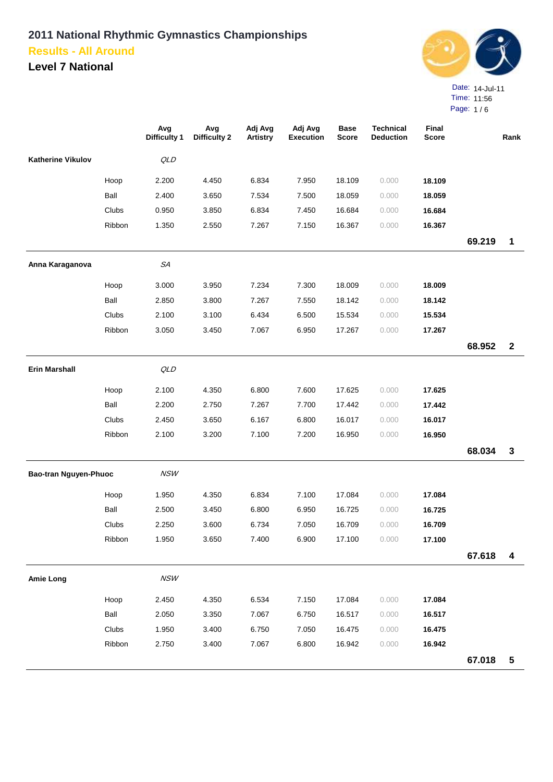

|                          |        | Avg<br><b>Difficulty 1</b> | Avg<br><b>Difficulty 2</b> | Adj Avg<br><b>Artistry</b> | Adj Avg<br><b>Execution</b> | <b>Base</b><br><b>Score</b> | <b>Technical</b><br><b>Deduction</b> | Final<br><b>Score</b> |        | Rank         |
|--------------------------|--------|----------------------------|----------------------------|----------------------------|-----------------------------|-----------------------------|--------------------------------------|-----------------------|--------|--------------|
| <b>Katherine Vikulov</b> |        | QLD                        |                            |                            |                             |                             |                                      |                       |        |              |
|                          | Hoop   | 2.200                      | 4.450                      | 6.834                      | 7.950                       | 18.109                      | 0.000                                | 18.109                |        |              |
|                          | Ball   | 2.400                      | 3.650                      | 7.534                      | 7.500                       | 18.059                      | 0.000                                | 18.059                |        |              |
|                          | Clubs  | 0.950                      | 3.850                      | 6.834                      | 7.450                       | 16.684                      | 0.000                                | 16.684                |        |              |
|                          | Ribbon | 1.350                      | 2.550                      | 7.267                      | 7.150                       | 16.367                      | 0.000                                | 16.367                |        |              |
|                          |        |                            |                            |                            |                             |                             |                                      |                       | 69.219 | 1            |
| Anna Karaganova          |        | SA                         |                            |                            |                             |                             |                                      |                       |        |              |
|                          | Hoop   | 3.000                      | 3.950                      | 7.234                      | 7.300                       | 18.009                      | 0.000                                | 18.009                |        |              |
|                          | Ball   | 2.850                      | 3.800                      | 7.267                      | 7.550                       | 18.142                      | 0.000                                | 18.142                |        |              |
|                          | Clubs  | 2.100                      | 3.100                      | 6.434                      | 6.500                       | 15.534                      | 0.000                                | 15.534                |        |              |
|                          | Ribbon | 3.050                      | 3.450                      | 7.067                      | 6.950                       | 17.267                      | 0.000                                | 17.267                |        |              |
|                          |        |                            |                            |                            |                             |                             |                                      |                       | 68.952 | $\mathbf{2}$ |
| <b>Erin Marshall</b>     |        | QLD                        |                            |                            |                             |                             |                                      |                       |        |              |
|                          | Hoop   | 2.100                      | 4.350                      | 6.800                      | 7.600                       | 17.625                      | 0.000                                | 17.625                |        |              |
|                          | Ball   | 2.200                      | 2.750                      | 7.267                      | 7.700                       | 17.442                      | 0.000                                | 17.442                |        |              |
|                          | Clubs  | 2.450                      | 3.650                      | 6.167                      | 6.800                       | 16.017                      | 0.000                                | 16.017                |        |              |
|                          | Ribbon | 2.100                      | 3.200                      | 7.100                      | 7.200                       | 16.950                      | 0.000                                | 16.950                |        |              |
|                          |        |                            |                            |                            |                             |                             |                                      |                       | 68.034 | $\mathbf 3$  |
| Bao-tran Nguyen-Phuoc    |        | NSW                        |                            |                            |                             |                             |                                      |                       |        |              |
|                          | Hoop   | 1.950                      | 4.350                      | 6.834                      | 7.100                       | 17.084                      | 0.000                                | 17.084                |        |              |
|                          | Ball   | 2.500                      | 3.450                      | 6.800                      | 6.950                       | 16.725                      | 0.000                                | 16.725                |        |              |
|                          | Clubs  | 2.250                      | 3.600                      | 6.734                      | 7.050                       | 16.709                      | 0.000                                | 16.709                |        |              |
|                          | Ribbon | 1.950                      | 3.650                      | 7.400                      | 6.900                       | 17.100                      | 0.000                                | 17.100                |        |              |
|                          |        |                            |                            |                            |                             |                             |                                      |                       | 67.618 | 4            |
| <b>Amie Long</b>         |        | NSW                        |                            |                            |                             |                             |                                      |                       |        |              |
|                          | Hoop   | 2.450                      | 4.350                      | 6.534                      | 7.150                       | 17.084                      | 0.000                                | 17.084                |        |              |
|                          | Ball   | 2.050                      | 3.350                      | 7.067                      | 6.750                       | 16.517                      | 0.000                                | 16.517                |        |              |
|                          | Clubs  | 1.950                      | 3.400                      | 6.750                      | 7.050                       | 16.475                      | 0.000                                | 16.475                |        |              |
|                          | Ribbon | 2.750                      | 3.400                      | 7.067                      | 6.800                       | 16.942                      | 0.000                                | 16.942                |        |              |
|                          |        |                            |                            |                            |                             |                             |                                      |                       | 67.018 | $\sqrt{5}$   |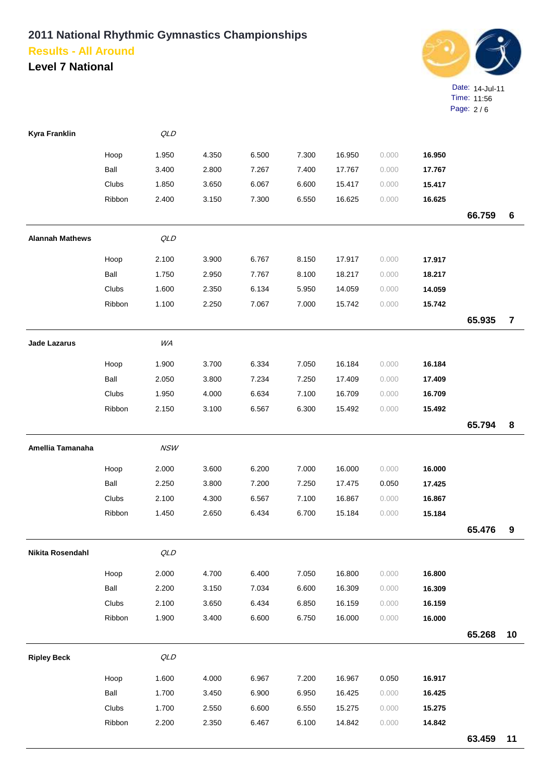

| Kyra Franklin           |        | QLD        |       |       |       |        |       |        |        |                |
|-------------------------|--------|------------|-------|-------|-------|--------|-------|--------|--------|----------------|
|                         | Hoop   | 1.950      | 4.350 | 6.500 | 7.300 | 16.950 | 0.000 | 16.950 |        |                |
|                         | Ball   | 3.400      | 2.800 | 7.267 | 7.400 | 17.767 | 0.000 | 17.767 |        |                |
|                         | Clubs  | 1.850      | 3.650 | 6.067 | 6.600 | 15.417 | 0.000 | 15.417 |        |                |
|                         | Ribbon | 2.400      | 3.150 | 7.300 | 6.550 | 16.625 | 0.000 | 16.625 |        |                |
|                         |        |            |       |       |       |        |       |        | 66.759 | 6              |
| <b>Alannah Mathews</b>  |        | QLD        |       |       |       |        |       |        |        |                |
|                         | Hoop   | 2.100      | 3.900 | 6.767 | 8.150 | 17.917 | 0.000 | 17.917 |        |                |
|                         | Ball   | 1.750      | 2.950 | 7.767 | 8.100 | 18.217 | 0.000 | 18.217 |        |                |
|                         | Clubs  | 1.600      | 2.350 | 6.134 | 5.950 | 14.059 | 0.000 | 14.059 |        |                |
|                         | Ribbon | 1.100      | 2.250 | 7.067 | 7.000 | 15.742 | 0.000 | 15.742 |        |                |
|                         |        |            |       |       |       |        |       |        | 65.935 | $\overline{7}$ |
| Jade Lazarus            |        | WA         |       |       |       |        |       |        |        |                |
|                         | Hoop   | 1.900      | 3.700 | 6.334 | 7.050 | 16.184 | 0.000 | 16.184 |        |                |
|                         | Ball   | 2.050      | 3.800 | 7.234 | 7.250 | 17.409 | 0.000 | 17.409 |        |                |
|                         | Clubs  | 1.950      | 4.000 | 6.634 | 7.100 | 16.709 | 0.000 | 16.709 |        |                |
|                         | Ribbon | 2.150      | 3.100 | 6.567 | 6.300 | 15.492 | 0.000 | 15.492 |        |                |
|                         |        |            |       |       |       |        |       |        | 65.794 | 8              |
| Amellia Tamanaha        |        | <b>NSW</b> |       |       |       |        |       |        |        |                |
|                         | Hoop   | 2.000      | 3.600 | 6.200 | 7.000 | 16.000 | 0.000 | 16.000 |        |                |
|                         | Ball   | 2.250      | 3.800 | 7.200 | 7.250 | 17.475 | 0.050 | 17.425 |        |                |
|                         | Clubs  | 2.100      | 4.300 | 6.567 | 7.100 | 16.867 | 0.000 | 16.867 |        |                |
|                         | Ribbon | 1.450      | 2.650 | 6.434 | 6.700 | 15.184 | 0.000 | 15.184 |        |                |
|                         |        |            |       |       |       |        |       |        | 65.476 | 9              |
| <b>Nikita Rosendahl</b> |        | $QLD$      |       |       |       |        |       |        |        |                |
|                         | Hoop   | 2.000      | 4.700 | 6.400 | 7.050 | 16.800 | 0.000 | 16.800 |        |                |
|                         | Ball   | 2.200      | 3.150 | 7.034 | 6.600 | 16.309 | 0.000 | 16.309 |        |                |
|                         | Clubs  | 2.100      | 3.650 | 6.434 | 6.850 | 16.159 | 0.000 | 16.159 |        |                |
|                         | Ribbon | 1.900      | 3.400 | 6.600 | 6.750 | 16.000 | 0.000 | 16.000 |        |                |
|                         |        |            |       |       |       |        |       |        | 65.268 | 10             |
| <b>Ripley Beck</b>      |        | QLD        |       |       |       |        |       |        |        |                |
|                         | Hoop   | 1.600      | 4.000 | 6.967 | 7.200 | 16.967 | 0.050 | 16.917 |        |                |
|                         | Ball   | 1.700      | 3.450 | 6.900 | 6.950 | 16.425 | 0.000 | 16.425 |        |                |
|                         | Clubs  | 1.700      | 2.550 | 6.600 | 6.550 | 15.275 | 0.000 | 15.275 |        |                |
|                         | Ribbon | 2.200      | 2.350 | 6.467 | 6.100 | 14.842 | 0.000 | 14.842 |        |                |
|                         |        |            |       |       |       |        |       |        | 63.459 | 11             |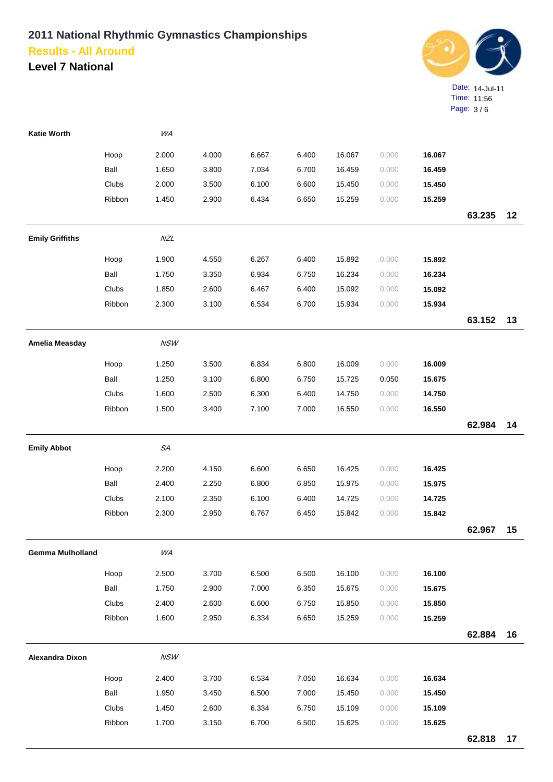

| <b>Katie Worth</b>      |              | WA          |       |       |       |        |       |        |        |    |
|-------------------------|--------------|-------------|-------|-------|-------|--------|-------|--------|--------|----|
|                         | Hoop         | 2.000       | 4.000 | 6.667 | 6.400 | 16.067 | 0.000 | 16.067 |        |    |
|                         | Ball         | 1.650       | 3.800 | 7.034 | 6.700 | 16.459 | 0.000 | 16.459 |        |    |
|                         | Clubs        | 2.000       | 3.500 | 6.100 | 6.600 | 15.450 | 0.000 | 15.450 |        |    |
|                         | Ribbon       | 1.450       | 2.900 | 6.434 | 6.650 | 15.259 | 0.000 | 15.259 |        |    |
|                         |              |             |       |       |       |        |       |        | 63.235 | 12 |
| <b>Emily Griffiths</b>  |              | NZL         |       |       |       |        |       |        |        |    |
|                         | Hoop         | 1.900       | 4.550 | 6.267 | 6.400 | 15.892 | 0.000 | 15.892 |        |    |
|                         | Ball         | 1.750       | 3.350 | 6.934 | 6.750 | 16.234 | 0.000 | 16.234 |        |    |
|                         | Clubs        | 1.850       | 2.600 | 6.467 | 6.400 | 15.092 | 0.000 | 15.092 |        |    |
|                         | Ribbon       | 2.300       | 3.100 | 6.534 | 6.700 | 15.934 | 0.000 | 15.934 |        |    |
|                         |              |             |       |       |       |        |       |        | 63.152 | 13 |
| Amelia Measday          |              | NSW         |       |       |       |        |       |        |        |    |
|                         | Hoop         | 1.250       | 3.500 | 6.834 | 6.800 | 16.009 | 0.000 | 16.009 |        |    |
|                         | Ball         | 1.250       | 3.100 | 6.800 | 6.750 | 15.725 | 0.050 | 15.675 |        |    |
|                         | <b>Clubs</b> | 1.600       | 2.500 | 6.300 | 6.400 | 14.750 | 0.000 | 14.750 |        |    |
|                         | Ribbon       | 1.500       | 3.400 | 7.100 | 7.000 | 16.550 | 0.000 | 16.550 |        |    |
|                         |              |             |       |       |       |        |       |        | 62.984 | 14 |
| <b>Emily Abbot</b>      |              | ${\cal SA}$ |       |       |       |        |       |        |        |    |
|                         |              |             |       |       |       |        |       |        |        |    |
|                         | Hoop         | 2.200       | 4.150 | 6.600 | 6.650 | 16.425 | 0.000 | 16.425 |        |    |
|                         | Ball         | 2.400       | 2.250 | 6.800 | 6.850 | 15.975 | 0.000 | 15.975 |        |    |
|                         | Clubs        | 2.100       | 2.350 | 6.100 | 6.400 | 14.725 | 0.000 | 14.725 |        |    |
|                         | Ribbon       | 2.300       | 2.950 | 6.767 | 6.450 | 15.842 | 0.000 | 15.842 | 62.967 | 15 |
|                         |              |             |       |       |       |        |       |        |        |    |
| <b>Gemma Mulholland</b> |              | WA          |       |       |       |        |       |        |        |    |
|                         | Hoop         | 2.500       | 3.700 | 6.500 | 6.500 | 16.100 | 0.000 | 16.100 |        |    |
|                         | Ball         | 1.750       | 2.900 | 7.000 | 6.350 | 15.675 | 0.000 | 15.675 |        |    |
|                         | <b>Clubs</b> | 2.400       | 2.600 | 6.600 | 6.750 | 15.850 | 0.000 | 15.850 |        |    |
|                         | Ribbon       | 1.600       | 2.950 | 6.334 | 6.650 | 15.259 | 0.000 | 15.259 |        |    |
|                         |              |             |       |       |       |        |       |        | 62.884 | 16 |
| <b>Alexandra Dixon</b>  |              | <b>NSW</b>  |       |       |       |        |       |        |        |    |
|                         | Hoop         | 2.400       | 3.700 | 6.534 | 7.050 | 16.634 | 0.000 | 16.634 |        |    |
|                         | Ball         | 1.950       | 3.450 | 6.500 | 7.000 | 15.450 | 0.000 | 15.450 |        |    |
|                         | Clubs        | 1.450       | 2.600 | 6.334 | 6.750 | 15.109 | 0.000 | 15.109 |        |    |
|                         | Ribbon       | 1.700       | 3.150 | 6.700 | 6.500 | 15.625 | 0.000 | 15.625 |        |    |
|                         |              |             |       |       |       |        |       |        | 62.818 | 17 |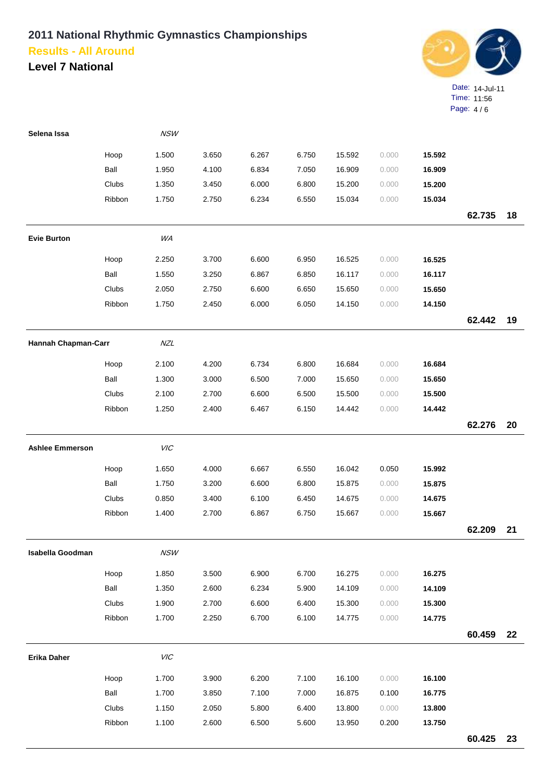

| Selena Issa             |        | <b>NSW</b> |       |       |       |        |       |        |        |    |
|-------------------------|--------|------------|-------|-------|-------|--------|-------|--------|--------|----|
|                         | Hoop   | 1.500      | 3.650 | 6.267 | 6.750 | 15.592 | 0.000 | 15.592 |        |    |
|                         | Ball   | 1.950      | 4.100 | 6.834 | 7.050 | 16.909 | 0.000 | 16.909 |        |    |
|                         | Clubs  | 1.350      | 3.450 | 6.000 | 6.800 | 15.200 | 0.000 | 15.200 |        |    |
|                         | Ribbon | 1.750      | 2.750 | 6.234 | 6.550 | 15.034 | 0.000 | 15.034 |        |    |
|                         |        |            |       |       |       |        |       |        | 62.735 | 18 |
| <b>Evie Burton</b>      |        | WA         |       |       |       |        |       |        |        |    |
|                         | Hoop   | 2.250      | 3.700 | 6.600 | 6.950 | 16.525 | 0.000 | 16.525 |        |    |
|                         | Ball   | 1.550      | 3.250 | 6.867 | 6.850 | 16.117 | 0.000 | 16.117 |        |    |
|                         | Clubs  | 2.050      | 2.750 | 6.600 | 6.650 | 15.650 | 0.000 | 15.650 |        |    |
|                         | Ribbon | 1.750      | 2.450 | 6.000 | 6.050 | 14.150 | 0.000 | 14.150 |        |    |
|                         |        |            |       |       |       |        |       |        | 62.442 | 19 |
| Hannah Chapman-Carr     |        | NZL        |       |       |       |        |       |        |        |    |
|                         | Hoop   | 2.100      | 4.200 | 6.734 | 6.800 | 16.684 | 0.000 | 16.684 |        |    |
|                         | Ball   | 1.300      | 3.000 | 6.500 | 7.000 | 15.650 | 0.000 | 15.650 |        |    |
|                         | Clubs  | 2.100      | 2.700 | 6.600 | 6.500 | 15.500 | 0.000 | 15.500 |        |    |
|                         | Ribbon | 1.250      | 2.400 | 6.467 | 6.150 | 14.442 | 0.000 | 14.442 |        |    |
|                         |        |            |       |       |       |        |       |        | 62.276 | 20 |
| <b>Ashlee Emmerson</b>  |        | VIC        |       |       |       |        |       |        |        |    |
|                         | Hoop   | 1.650      | 4.000 | 6.667 | 6.550 | 16.042 | 0.050 | 15.992 |        |    |
|                         | Ball   | 1.750      | 3.200 | 6.600 | 6.800 | 15.875 | 0.000 | 15.875 |        |    |
|                         | Clubs  | 0.850      | 3.400 | 6.100 | 6.450 | 14.675 | 0.000 | 14.675 |        |    |
|                         | Ribbon | 1.400      | 2.700 | 6.867 | 6.750 | 15.667 | 0.000 | 15.667 |        |    |
|                         |        |            |       |       |       |        |       |        | 62.209 | 21 |
| <b>Isabella Goodman</b> |        | NSW        |       |       |       |        |       |        |        |    |
|                         | Hoop   | 1.850      | 3.500 | 6.900 | 6.700 | 16.275 | 0.000 | 16.275 |        |    |
|                         | Ball   | 1.350      | 2.600 | 6.234 | 5.900 | 14.109 | 0.000 | 14.109 |        |    |
|                         | Clubs  | 1.900      | 2.700 | 6.600 | 6.400 | 15.300 | 0.000 | 15.300 |        |    |
|                         | Ribbon | 1.700      | 2.250 | 6.700 | 6.100 | 14.775 | 0.000 | 14.775 |        |    |
|                         |        |            |       |       |       |        |       |        | 60.459 | 22 |
| Erika Daher             |        | VIC        |       |       |       |        |       |        |        |    |
|                         | Hoop   | 1.700      | 3.900 | 6.200 | 7.100 | 16.100 | 0.000 | 16.100 |        |    |
|                         | Ball   | 1.700      | 3.850 | 7.100 | 7.000 | 16.875 | 0.100 | 16.775 |        |    |
|                         | Clubs  | 1.150      | 2.050 | 5.800 | 6.400 | 13.800 | 0.000 | 13.800 |        |    |
|                         | Ribbon | 1.100      | 2.600 | 6.500 | 5.600 | 13.950 | 0.200 | 13.750 |        |    |
|                         |        |            |       |       |       |        |       |        | 60.425 | 23 |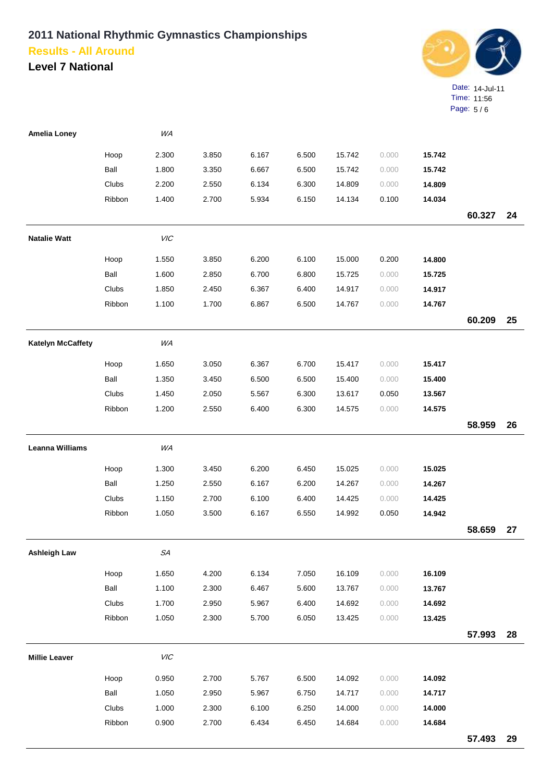

| <b>Amelia Loney</b>      |        | WA          |       |       |       |        |       |        |        |    |
|--------------------------|--------|-------------|-------|-------|-------|--------|-------|--------|--------|----|
|                          | Hoop   | 2.300       | 3.850 | 6.167 | 6.500 | 15.742 | 0.000 | 15.742 |        |    |
|                          | Ball   | 1.800       | 3.350 | 6.667 | 6.500 | 15.742 | 0.000 | 15.742 |        |    |
|                          | Clubs  | 2.200       | 2.550 | 6.134 | 6.300 | 14.809 | 0.000 | 14.809 |        |    |
|                          | Ribbon | 1.400       | 2.700 | 5.934 | 6.150 | 14.134 | 0.100 | 14.034 |        |    |
|                          |        |             |       |       |       |        |       |        | 60.327 | 24 |
| <b>Natalie Watt</b>      |        | <b>VIC</b>  |       |       |       |        |       |        |        |    |
|                          | Hoop   | 1.550       | 3.850 | 6.200 | 6.100 | 15.000 | 0.200 | 14.800 |        |    |
|                          | Ball   | 1.600       | 2.850 | 6.700 | 6.800 | 15.725 | 0.000 | 15.725 |        |    |
|                          | Clubs  | 1.850       | 2.450 | 6.367 | 6.400 | 14.917 | 0.000 | 14.917 |        |    |
|                          | Ribbon | 1.100       | 1.700 | 6.867 | 6.500 | 14.767 | 0.000 | 14.767 |        |    |
|                          |        |             |       |       |       |        |       |        | 60.209 | 25 |
| <b>Katelyn McCaffety</b> |        | WA          |       |       |       |        |       |        |        |    |
|                          | Hoop   | 1.650       | 3.050 | 6.367 | 6.700 | 15.417 | 0.000 | 15.417 |        |    |
|                          | Ball   | 1.350       | 3.450 | 6.500 | 6.500 | 15.400 | 0.000 | 15.400 |        |    |
|                          | Clubs  | 1.450       | 2.050 | 5.567 | 6.300 | 13.617 | 0.050 | 13.567 |        |    |
|                          | Ribbon | 1.200       | 2.550 | 6.400 | 6.300 | 14.575 | 0.000 | 14.575 |        |    |
|                          |        |             |       |       |       |        |       |        | 58.959 | 26 |
| <b>Leanna Williams</b>   |        | WA          |       |       |       |        |       |        |        |    |
|                          | Hoop   | 1.300       | 3.450 | 6.200 | 6.450 | 15.025 | 0.000 | 15.025 |        |    |
|                          | Ball   | 1.250       | 2.550 | 6.167 | 6.200 | 14.267 | 0.000 | 14.267 |        |    |
|                          | Clubs  | 1.150       | 2.700 | 6.100 | 6.400 | 14.425 | 0.000 | 14.425 |        |    |
|                          | Ribbon | 1.050       | 3.500 | 6.167 | 6.550 | 14.992 | 0.050 | 14.942 |        |    |
|                          |        |             |       |       |       |        |       |        | 58.659 | 27 |
| <b>Ashleigh Law</b>      |        | ${\cal SA}$ |       |       |       |        |       |        |        |    |
|                          | Hoop   | 1.650       | 4.200 | 6.134 | 7.050 | 16.109 | 0.000 | 16.109 |        |    |
|                          | Ball   | 1.100       | 2.300 | 6.467 | 5.600 | 13.767 | 0.000 | 13.767 |        |    |
|                          | Clubs  | 1.700       | 2.950 | 5.967 | 6.400 | 14.692 | 0.000 | 14.692 |        |    |
|                          | Ribbon | 1.050       | 2.300 | 5.700 | 6.050 | 13.425 | 0.000 | 13.425 |        |    |
|                          |        |             |       |       |       |        |       |        | 57.993 | 28 |
| <b>Millie Leaver</b>     |        | VIC         |       |       |       |        |       |        |        |    |
|                          | Hoop   | 0.950       | 2.700 | 5.767 | 6.500 | 14.092 | 0.000 | 14.092 |        |    |
|                          | Ball   | 1.050       | 2.950 | 5.967 | 6.750 | 14.717 | 0.000 | 14.717 |        |    |
|                          | Clubs  | 1.000       | 2.300 | 6.100 | 6.250 | 14.000 | 0.000 | 14.000 |        |    |
|                          | Ribbon | 0.900       | 2.700 | 6.434 | 6.450 | 14.684 | 0.000 | 14.684 |        |    |
|                          |        |             |       |       |       |        |       |        | 57.493 | 29 |